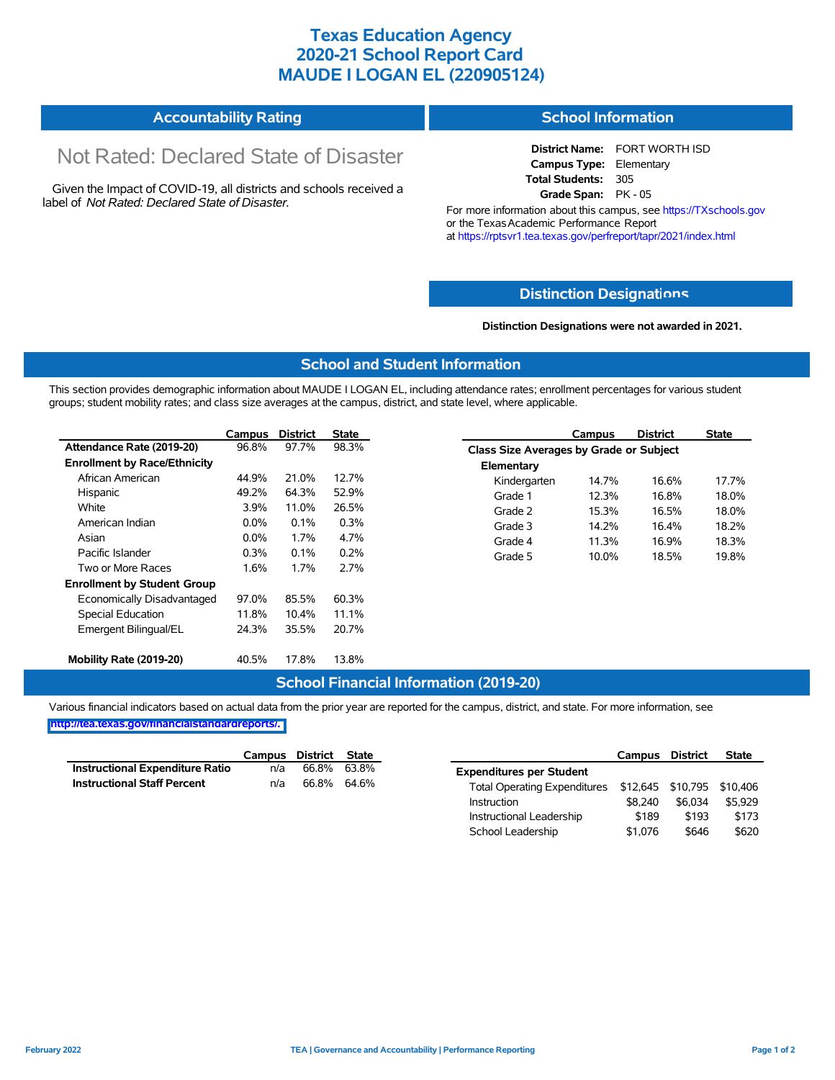## **Texas Education Agency 2020-21 School Report Card MAUDE I LOGAN EL (220905124)**

| <b>Accountability Rating</b> | <b>School Information</b> |
|------------------------------|---------------------------|
|------------------------------|---------------------------|

# Not Rated: Declared State of Disaster

Given the Impact of COVID-19, all districts and schools received a label of *Not Rated: Declared State of Disaster.*

**District Name:** FORT WORTH ISD **Campus Type:** Elementary **Total Students:** 305 **Grade Span:** PK - 05

For more information about this campus, see https://TXschools.gov or the Texas Academic Performance Report at https://rptsvr1.tea.texas.gov/perfreport/tapr/2021/index.html

#### **Distinction Designat[ions](https://TXschools.gov)**

**Distinction Designations were not awarded in 2021.**

School Leadership  $$1,076$  \$646 \$620

#### **School and Student Information**

This section provides demographic information about MAUDE I LOGAN EL, including attendance rates; enrollment percentages for various student groups; student mobility rates; and class size averages at the campus, district, and state level, where applicable.

|                                     | Campus  | <b>District</b> | <b>State</b> |              | Campus                                  | <b>District</b> | <b>State</b> |  |  |
|-------------------------------------|---------|-----------------|--------------|--------------|-----------------------------------------|-----------------|--------------|--|--|
| Attendance Rate (2019-20)           | 96.8%   | 97.7%           | 98.3%        |              | Class Size Averages by Grade or Subject |                 |              |  |  |
| <b>Enrollment by Race/Ethnicity</b> |         |                 |              | Elementary   |                                         |                 |              |  |  |
| African American                    | 44.9%   | 21.0%           | 12.7%        | Kindergarten | 14.7%                                   | 16.6%           | 17.7%        |  |  |
| Hispanic                            | 49.2%   | 64.3%           | 52.9%        | Grade 1      | 12.3%                                   | 16.8%           | 18.0%        |  |  |
| White                               | 3.9%    | 11.0%           | 26.5%        | Grade 2      | 15.3%                                   | 16.5%           | 18.0%        |  |  |
| American Indian                     | $0.0\%$ | 0.1%            | 0.3%         | Grade 3      | 14.2%                                   | 16.4%           | 18.2%        |  |  |
| Asian                               | $0.0\%$ | 1.7%            | 4.7%         | Grade 4      | 11.3%                                   | 16.9%           | 18.3%        |  |  |
| Pacific Islander                    | 0.3%    | 0.1%            | 0.2%         | Grade 5      | 10.0%                                   | 18.5%           | 19.8%        |  |  |
| Two or More Races                   | 1.6%    | 1.7%            | 2.7%         |              |                                         |                 |              |  |  |
| <b>Enrollment by Student Group</b>  |         |                 |              |              |                                         |                 |              |  |  |
| Economically Disadvantaged          | 97.0%   | 85.5%           | 60.3%        |              |                                         |                 |              |  |  |
| Special Education                   | 11.8%   | 10.4%           | 11.1%        |              |                                         |                 |              |  |  |
| Emergent Bilingual/EL               | 24.3%   | 35.5%           | 20.7%        |              |                                         |                 |              |  |  |
|                                     |         |                 |              |              |                                         |                 |              |  |  |
| Mobility Rate (2019-20)             | 40.5%   | 17.8%           | 13.8%        |              |                                         |                 |              |  |  |

#### **School Financial Information (2019-20)**

Various financial indicators based on actual data from the prior year are reported for the campus, district, and state. For more information, see

**[http://tea.texas.gov/financialstandardreports/.](http://tea.texas.gov/financialstandardreports/)**

|                                        | Campus | District State |             |                                                         | Campus  | <b>District</b> | <b>State</b> |
|----------------------------------------|--------|----------------|-------------|---------------------------------------------------------|---------|-----------------|--------------|
| <b>Instructional Expenditure Ratio</b> | n/a    | 66.8%          | 63.8%       | <b>Expenditures per Student</b>                         |         |                 |              |
| <b>Instructional Staff Percent</b>     | n/a    |                | 66.8% 64.6% | Total Operating Expenditures \$12,645 \$10,795 \$10,406 |         |                 |              |
|                                        |        |                |             | Instruction                                             | \$8.240 | \$6.034         | \$5.929      |
|                                        |        |                |             | Instructional Leadership                                | \$189   | \$193           | \$173        |